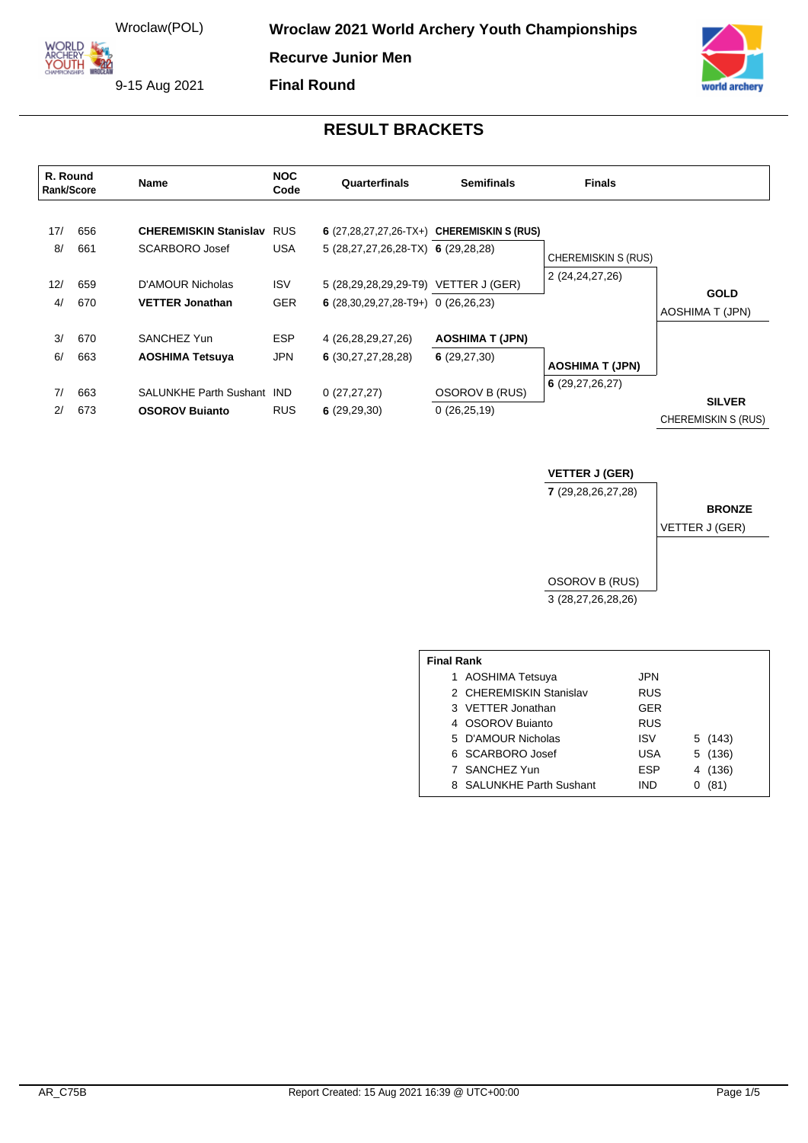**Wroclaw 2021 World Archery Youth Championships** 

**Recurve Junior Men**

**Final Round**

ARCHERY<br>YOUTH 9-15 Aug 2021

**ORLD** 



## **RESULT BRACKETS**

| R. Round<br><b>Rank/Score</b> |            | Name                                               | <b>NOC</b><br>Code | Quarterfinals                           | <b>Semifinals</b>                          | <b>Finals</b>              |                                             |
|-------------------------------|------------|----------------------------------------------------|--------------------|-----------------------------------------|--------------------------------------------|----------------------------|---------------------------------------------|
| 17/<br>8/                     | 656<br>661 | <b>CHEREMISKIN Stanislav RUS</b><br>SCARBORO Josef | <b>USA</b>         | $5(28,27,27,26,28$ -TX $6(29,28,28)$    | 6 (27,28,27,27,26-TX+) CHEREMISKIN S (RUS) |                            |                                             |
|                               |            |                                                    |                    |                                         |                                            | <b>CHEREMISKIN S (RUS)</b> |                                             |
| 12/                           | 659        | D'AMOUR Nicholas                                   | <b>ISV</b>         | 5 (28,29,28,29,29-T9) VETTER J (GER)    |                                            | 2 (24,24,27,26)            | <b>GOLD</b>                                 |
| 4/                            | 670        | <b>VETTER Jonathan</b>                             | <b>GER</b>         | 6 $(28,30,29,27,28-T9+)$ 0 $(26,26,23)$ |                                            |                            | <b>AOSHIMA T (JPN)</b>                      |
| 3/                            | 670        | SANCHEZ Yun                                        | <b>ESP</b>         | 4 (26,28,29,27,26)                      | <b>AOSHIMA T (JPN)</b>                     |                            |                                             |
| 6/                            | 663        | <b>AOSHIMA Tetsuya</b>                             | <b>JPN</b>         | 6(30, 27, 27, 28, 28)                   | 6(29, 27, 30)                              | <b>AOSHIMA T (JPN)</b>     |                                             |
| 7/                            | 663        | SALUNKHE Parth Sushant IND                         |                    | 0(27, 27, 27)                           | <b>OSOROV B (RUS)</b>                      | 6(29, 27, 26, 27)          |                                             |
| 2/                            | 673        | <b>OSOROV Bujanto</b>                              | <b>RUS</b>         | 6(29,29,30)                             | 0(26,25,19)                                |                            | <b>SILVER</b><br><b>CHEREMISKIN S (RUS)</b> |

## **VETTER J (GER)**

**7** (29,28,26,27,28)

#### **BRONZE**

VETTER J (GER)



| <b>Final Rank</b> |                          |            |            |  |  |  |  |  |
|-------------------|--------------------------|------------|------------|--|--|--|--|--|
|                   | 1 AOSHIMA Tetsuya        | JPN        |            |  |  |  |  |  |
|                   | 2 CHEREMISKIN Stanislav  | <b>RUS</b> |            |  |  |  |  |  |
|                   | 3 VETTER Jonathan        | <b>GER</b> |            |  |  |  |  |  |
|                   | 4 OSOROV Bujanto         | <b>RUS</b> |            |  |  |  |  |  |
|                   | 5 D'AMOUR Nicholas       | <b>ISV</b> | 5 (143)    |  |  |  |  |  |
|                   | 6 SCARBORO Josef         | <b>USA</b> | 5 (136)    |  |  |  |  |  |
|                   | 7 SANCHEZ Yun            | <b>ESP</b> | (136)<br>4 |  |  |  |  |  |
|                   | 8 SALUNKHE Parth Sushant | IND        | (81)       |  |  |  |  |  |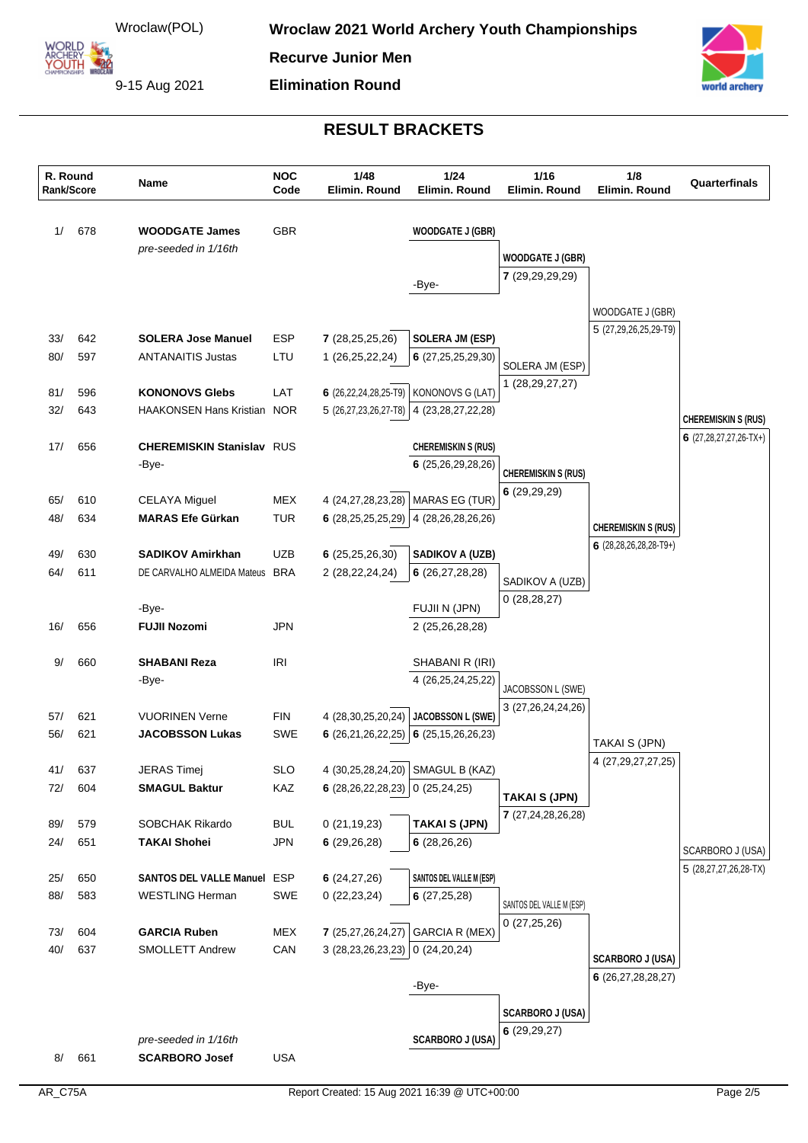**OUTH** 

**Recurve Junior Men**

**Elimination Round**

9-15 Aug 2021



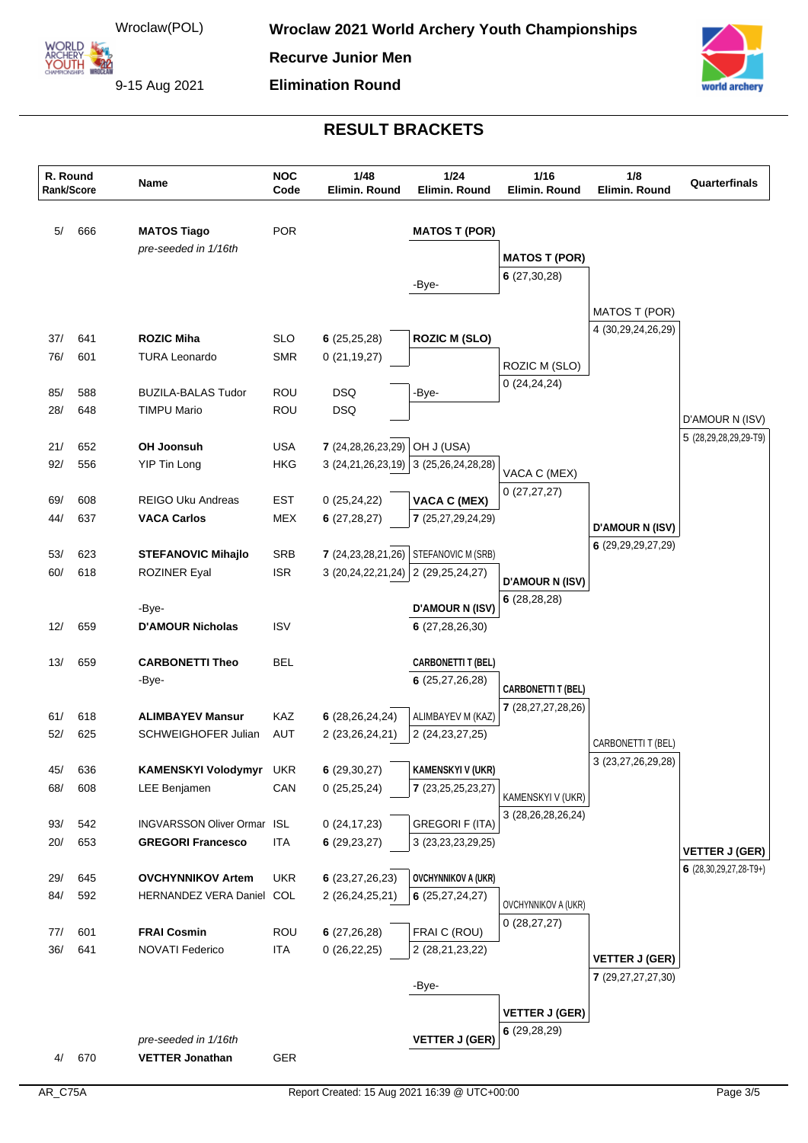**OUTH** 

**Recurve Junior Men**

**Elimination Round**

9-15 Aug 2021



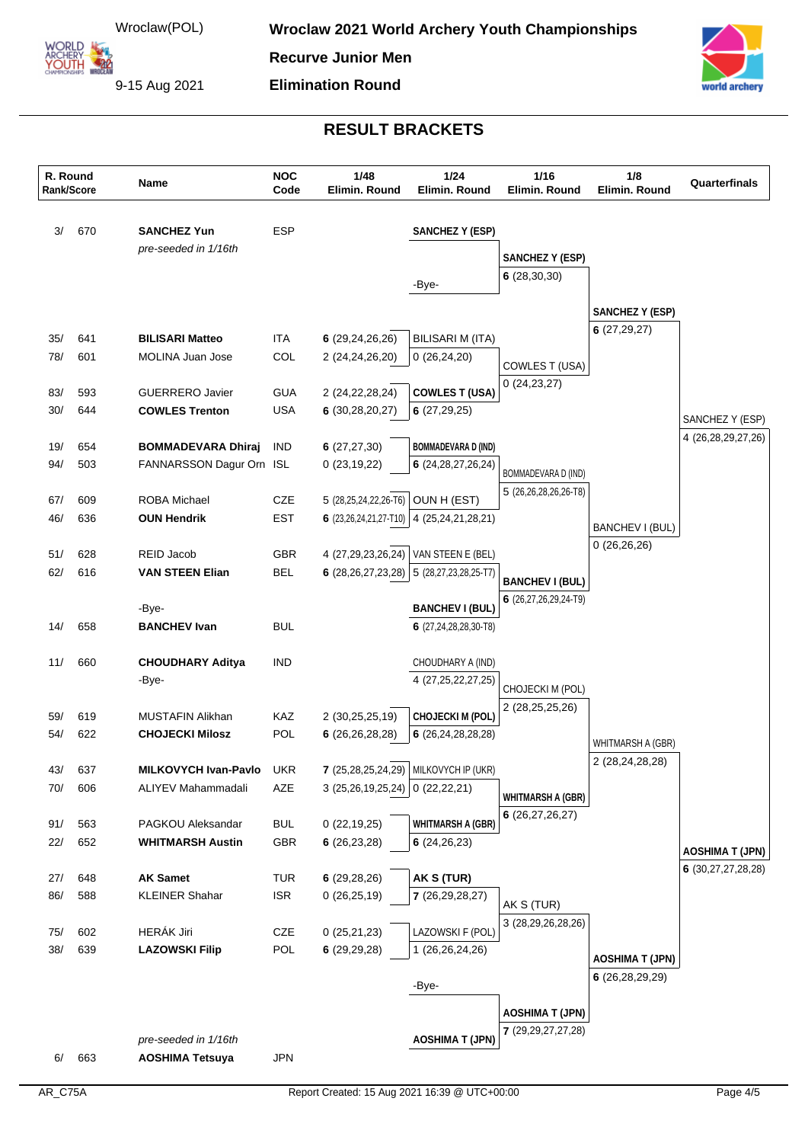ŎŰŤĤ

**Recurve Junior Men**

**Elimination Round**

9-15 Aug 2021